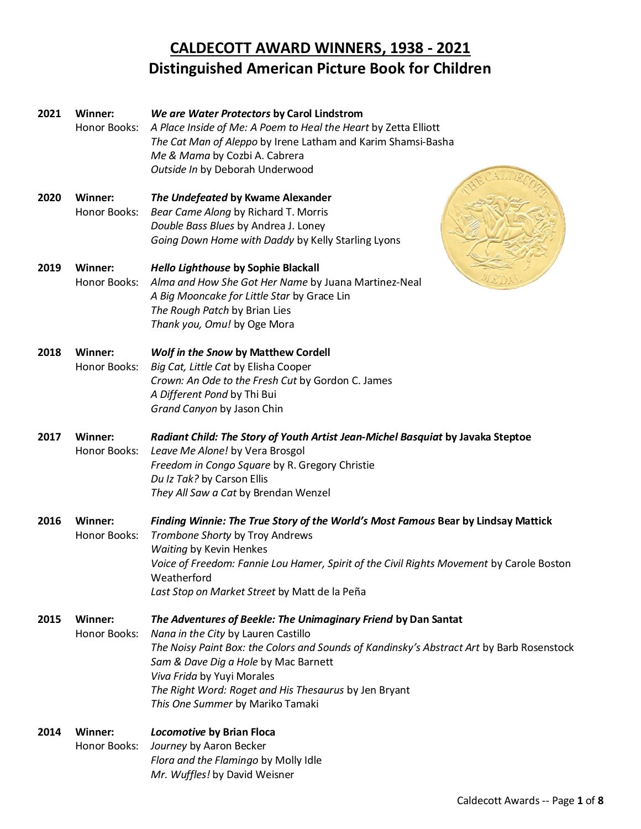## **CALDECOTT AWARD WINNERS, 1938 - 2021 Distinguished American Picture Book for Children**

| 2021 | Winner:<br>Honor Books:        | We are Water Protectors by Carol Lindstrom<br>A Place Inside of Me: A Poem to Heal the Heart by Zetta Elliott<br>The Cat Man of Aleppo by Irene Latham and Karim Shamsi-Basha<br>Me & Mama by Cozbi A. Cabrera<br>Outside In by Deborah Underwood                                                                                                                     |
|------|--------------------------------|-----------------------------------------------------------------------------------------------------------------------------------------------------------------------------------------------------------------------------------------------------------------------------------------------------------------------------------------------------------------------|
| 2020 | <b>Winner:</b><br>Honor Books: | The Undefeated by Kwame Alexander<br>Bear Came Along by Richard T. Morris<br>Double Bass Blues by Andrea J. Loney<br>Going Down Home with Daddy by Kelly Starling Lyons                                                                                                                                                                                               |
| 2019 | <b>Winner:</b><br>Honor Books: | Hello Lighthouse by Sophie Blackall<br>Alma and How She Got Her Name by Juana Martinez-Neal<br>A Big Mooncake for Little Star by Grace Lin<br>The Rough Patch by Brian Lies<br>Thank you, Omu! by Oge Mora                                                                                                                                                            |
| 2018 | Winner:<br>Honor Books:        | Wolf in the Snow by Matthew Cordell<br>Big Cat, Little Cat by Elisha Cooper<br>Crown: An Ode to the Fresh Cut by Gordon C. James<br>A Different Pond by Thi Bui<br>Grand Canyon by Jason Chin                                                                                                                                                                         |
| 2017 | <b>Winner:</b><br>Honor Books: | Radiant Child: The Story of Youth Artist Jean-Michel Basquiat by Javaka Steptoe<br>Leave Me Alone! by Vera Brosgol<br>Freedom in Congo Square by R. Gregory Christie<br>Du Iz Tak? by Carson Ellis<br>They All Saw a Cat by Brendan Wenzel                                                                                                                            |
| 2016 | <b>Winner:</b><br>Honor Books: | Finding Winnie: The True Story of the World's Most Famous Bear by Lindsay Mattick<br>Trombone Shorty by Troy Andrews<br>Waiting by Kevin Henkes<br>Voice of Freedom: Fannie Lou Hamer, Spirit of the Civil Rights Movement by Carole Boston<br>Weatherford<br>Last Stop on Market Street by Matt de la Peña                                                           |
| 2015 | Winner:<br>Honor Books:        | The Adventures of Beekle: The Unimaginary Friend by Dan Santat<br>Nana in the City by Lauren Castillo<br>The Noisy Paint Box: the Colors and Sounds of Kandinsky's Abstract Art by Barb Rosenstock<br>Sam & Dave Dig a Hole by Mac Barnett<br>Viva Frida by Yuyi Morales<br>The Right Word: Roget and His Thesaurus by Jen Bryant<br>This One Summer by Mariko Tamaki |
| 2014 | Winner:<br>Honor Books:        | Locomotive by Brian Floca<br>Journey by Aaron Becker<br>Flora and the Flamingo by Molly Idle<br>Mr. Wuffles! by David Weisner                                                                                                                                                                                                                                         |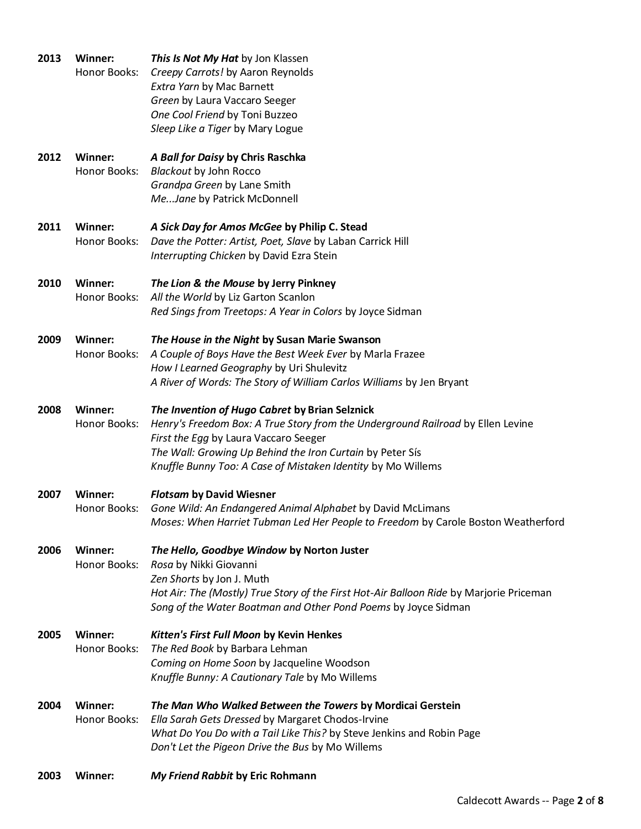| 2003 | <b>Winner:</b>          | My Friend Rabbit by Eric Rohmann                                                                                                                                                                                                                                                                        |
|------|-------------------------|---------------------------------------------------------------------------------------------------------------------------------------------------------------------------------------------------------------------------------------------------------------------------------------------------------|
| 2004 | Winner:<br>Honor Books: | The Man Who Walked Between the Towers by Mordicai Gerstein<br>Ella Sarah Gets Dressed by Margaret Chodos-Irvine<br>What Do You Do with a Tail Like This? by Steve Jenkins and Robin Page<br>Don't Let the Pigeon Drive the Bus by Mo Willems                                                            |
| 2005 | Winner:<br>Honor Books: | Kitten's First Full Moon by Kevin Henkes<br>The Red Book by Barbara Lehman<br>Coming on Home Soon by Jacqueline Woodson<br>Knuffle Bunny: A Cautionary Tale by Mo Willems                                                                                                                               |
| 2006 | Winner:<br>Honor Books: | The Hello, Goodbye Window by Norton Juster<br>Rosa by Nikki Giovanni<br>Zen Shorts by Jon J. Muth<br>Hot Air: The (Mostly) True Story of the First Hot-Air Balloon Ride by Marjorie Priceman<br>Song of the Water Boatman and Other Pond Poems by Joyce Sidman                                          |
| 2007 | Winner:<br>Honor Books: | <b>Flotsam by David Wiesner</b><br>Gone Wild: An Endangered Animal Alphabet by David McLimans<br>Moses: When Harriet Tubman Led Her People to Freedom by Carole Boston Weatherford                                                                                                                      |
| 2008 | Winner:<br>Honor Books: | The Invention of Hugo Cabret by Brian Selznick<br>Henry's Freedom Box: A True Story from the Underground Railroad by Ellen Levine<br>First the Egg by Laura Vaccaro Seeger<br>The Wall: Growing Up Behind the Iron Curtain by Peter Sís<br>Knuffle Bunny Too: A Case of Mistaken Identity by Mo Willems |
| 2009 | Winner:<br>Honor Books: | The House in the Night by Susan Marie Swanson<br>A Couple of Boys Have the Best Week Ever by Marla Frazee<br>How I Learned Geography by Uri Shulevitz<br>A River of Words: The Story of William Carlos Williams by Jen Bryant                                                                           |
| 2010 | Winner:<br>Honor Books: | The Lion & the Mouse by Jerry Pinkney<br>All the World by Liz Garton Scanlon<br>Red Sings from Treetops: A Year in Colors by Joyce Sidman                                                                                                                                                               |
| 2011 | Winner:<br>Honor Books: | A Sick Day for Amos McGee by Philip C. Stead<br>Dave the Potter: Artist, Poet, Slave by Laban Carrick Hill<br>Interrupting Chicken by David Ezra Stein                                                                                                                                                  |
| 2012 | Winner:<br>Honor Books: | A Ball for Daisy by Chris Raschka<br><b>Blackout by John Rocco</b><br>Grandpa Green by Lane Smith<br>MeJane by Patrick McDonnell                                                                                                                                                                        |
| 2013 | Winner:<br>Honor Books: | This Is Not My Hat by Jon Klassen<br>Creepy Carrots! by Aaron Reynolds<br>Extra Yarn by Mac Barnett<br>Green by Laura Vaccaro Seeger<br>One Cool Friend by Toni Buzzeo<br>Sleep Like a Tiger by Mary Logue                                                                                              |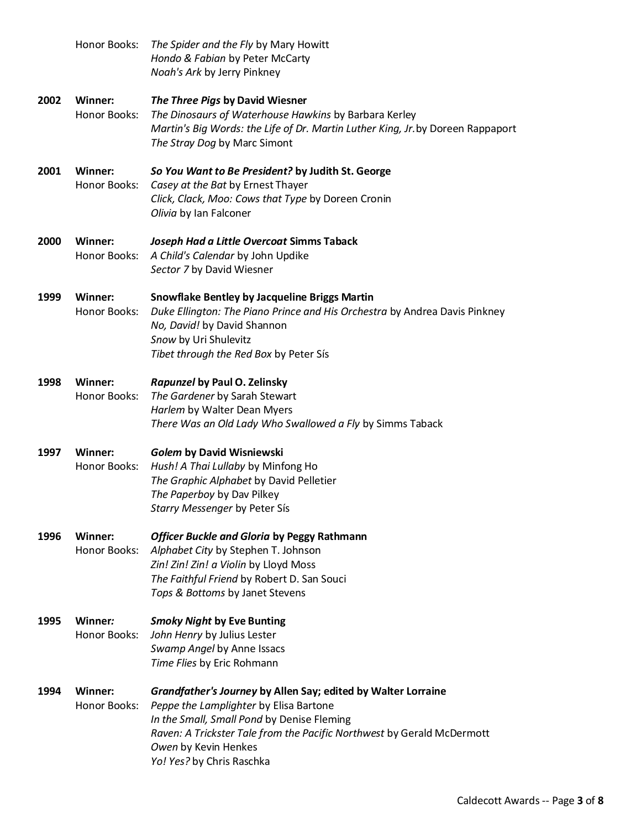|      | Honor Books:                   | The Spider and the Fly by Mary Howitt<br>Hondo & Fabian by Peter McCarty<br>Noah's Ark by Jerry Pinkney                                                                                                                                                                              |
|------|--------------------------------|--------------------------------------------------------------------------------------------------------------------------------------------------------------------------------------------------------------------------------------------------------------------------------------|
| 2002 | Winner:<br>Honor Books:        | The Three Pigs by David Wiesner<br>The Dinosaurs of Waterhouse Hawkins by Barbara Kerley<br>Martin's Big Words: the Life of Dr. Martin Luther King, Jr. by Doreen Rappaport<br>The Stray Dog by Marc Simont                                                                          |
| 2001 | Winner:<br>Honor Books:        | So You Want to Be President? by Judith St. George<br>Casey at the Bat by Ernest Thayer<br>Click, Clack, Moo: Cows that Type by Doreen Cronin<br>Olivia by Ian Falconer                                                                                                               |
| 2000 | <b>Winner:</b><br>Honor Books: | Joseph Had a Little Overcoat Simms Taback<br>A Child's Calendar by John Updike<br>Sector 7 by David Wiesner                                                                                                                                                                          |
| 1999 | <b>Winner:</b><br>Honor Books: | <b>Snowflake Bentley by Jacqueline Briggs Martin</b><br>Duke Ellington: The Piano Prince and His Orchestra by Andrea Davis Pinkney<br>No, David! by David Shannon<br>Snow by Uri Shulevitz<br>Tibet through the Red Box by Peter Sís                                                 |
| 1998 | Winner:<br>Honor Books:        | Rapunzel by Paul O. Zelinsky<br>The Gardener by Sarah Stewart<br>Harlem by Walter Dean Myers<br>There Was an Old Lady Who Swallowed a Fly by Simms Taback                                                                                                                            |
| 1997 | <b>Winner:</b><br>Honor Books: | Golem by David Wisniewski<br>Hush! A Thai Lullaby by Minfong Ho<br>The Graphic Alphabet by David Pelletier<br>The Paperboy by Dav Pilkey<br>Starry Messenger by Peter Sís                                                                                                            |
| 1996 | <b>Winner:</b><br>Honor Books: | Officer Buckle and Gloria by Peggy Rathmann<br>Alphabet City by Stephen T. Johnson<br>Zin! Zin! Zin! a Violin by Lloyd Moss<br>The Faithful Friend by Robert D. San Souci<br>Tops & Bottoms by Janet Stevens                                                                         |
| 1995 | Winner:<br>Honor Books:        | <b>Smoky Night by Eve Bunting</b><br>John Henry by Julius Lester<br>Swamp Angel by Anne Issacs<br>Time Flies by Eric Rohmann                                                                                                                                                         |
| 1994 | Winner:<br>Honor Books:        | Grandfather's Journey by Allen Say; edited by Walter Lorraine<br>Peppe the Lamplighter by Elisa Bartone<br>In the Small, Small Pond by Denise Fleming<br>Raven: A Trickster Tale from the Pacific Northwest by Gerald McDermott<br>Owen by Kevin Henkes<br>Yo! Yes? by Chris Raschka |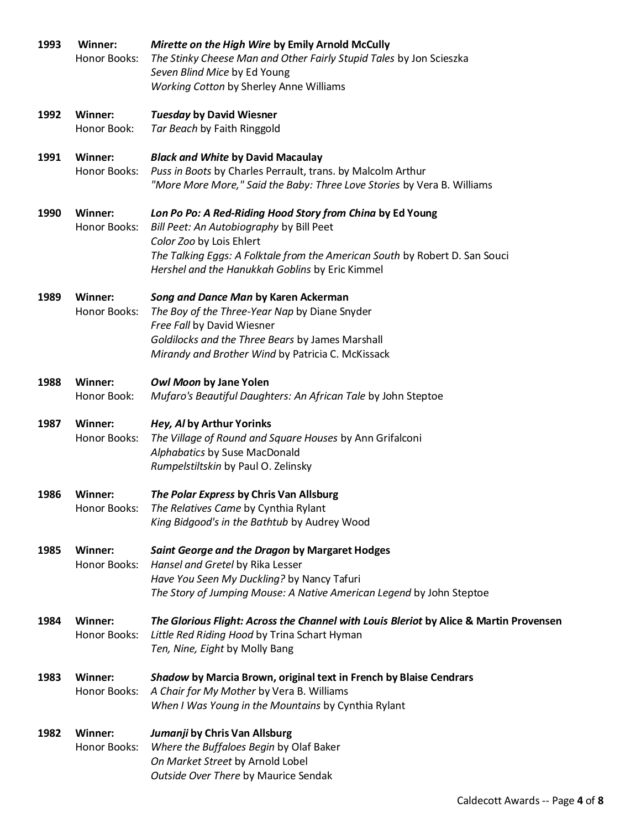| 1993 | Winner:<br>Honor Books:        | Mirette on the High Wire by Emily Arnold McCully<br>The Stinky Cheese Man and Other Fairly Stupid Tales by Jon Scieszka<br>Seven Blind Mice by Ed Young<br>Working Cotton by Sherley Anne Williams                                                                  |  |
|------|--------------------------------|---------------------------------------------------------------------------------------------------------------------------------------------------------------------------------------------------------------------------------------------------------------------|--|
| 1992 | Winner:                        | <b>Tuesday by David Wiesner</b>                                                                                                                                                                                                                                     |  |
|      | Honor Book:                    | Tar Beach by Faith Ringgold                                                                                                                                                                                                                                         |  |
| 1991 | <b>Winner:</b><br>Honor Books: | <b>Black and White by David Macaulay</b><br>Puss in Boots by Charles Perrault, trans. by Malcolm Arthur<br>"More More More," Said the Baby: Three Love Stories by Vera B. Williams                                                                                  |  |
| 1990 | <b>Winner:</b><br>Honor Books: | Lon Po Po: A Red-Riding Hood Story from China by Ed Young<br>Bill Peet: An Autobiography by Bill Peet<br>Color Zoo by Lois Ehlert<br>The Talking Eggs: A Folktale from the American South by Robert D. San Souci<br>Hershel and the Hanukkah Goblins by Eric Kimmel |  |
| 1989 | Winner:<br>Honor Books:        | Song and Dance Man by Karen Ackerman<br>The Boy of the Three-Year Nap by Diane Snyder<br>Free Fall by David Wiesner<br>Goldilocks and the Three Bears by James Marshall<br>Mirandy and Brother Wind by Patricia C. McKissack                                        |  |
| 1988 | <b>Winner:</b><br>Honor Book:  | Owl Moon by Jane Yolen<br>Mufaro's Beautiful Daughters: An African Tale by John Steptoe                                                                                                                                                                             |  |
| 1987 | <b>Winner:</b><br>Honor Books: | Hey, Al by Arthur Yorinks<br>The Village of Round and Square Houses by Ann Grifalconi<br>Alphabatics by Suse MacDonald<br>Rumpelstiltskin by Paul O. Zelinsky                                                                                                       |  |
| 1986 | <b>Winner:</b><br>Honor Books: | The Polar Express by Chris Van Allsburg<br>The Relatives Came by Cynthia Rylant<br>King Bidgood's in the Bathtub by Audrey Wood                                                                                                                                     |  |
| 1985 | <b>Winner:</b><br>Honor Books: | Saint George and the Dragon by Margaret Hodges<br>Hansel and Gretel by Rika Lesser<br>Have You Seen My Duckling? by Nancy Tafuri<br>The Story of Jumping Mouse: A Native American Legend by John Steptoe                                                            |  |
| 1984 | Winner:<br>Honor Books:        | The Glorious Flight: Across the Channel with Louis Bleriot by Alice & Martin Provensen<br>Little Red Riding Hood by Trina Schart Hyman<br>Ten, Nine, Eight by Molly Bang                                                                                            |  |
| 1983 | <b>Winner:</b><br>Honor Books: | Shadow by Marcia Brown, original text in French by Blaise Cendrars<br>A Chair for My Mother by Vera B. Williams<br>When I Was Young in the Mountains by Cynthia Rylant                                                                                              |  |
| 1982 | <b>Winner:</b><br>Honor Books: | Jumanji by Chris Van Allsburg<br>Where the Buffaloes Begin by Olaf Baker<br>On Market Street by Arnold Lobel<br>Outside Over There by Maurice Sendak                                                                                                                |  |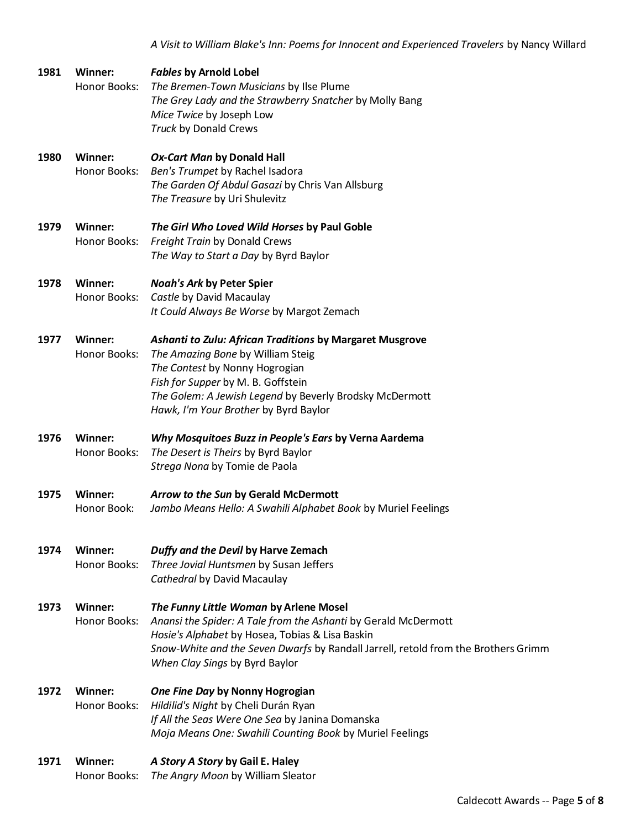*A Visit to William Blake's Inn: Poems for Innocent and Experienced Travelers* by Nancy Willard

| 1981 | Winner:<br>Honor Books:        | <b>Fables by Arnold Lobel</b><br>The Bremen-Town Musicians by Ilse Plume<br>The Grey Lady and the Strawberry Snatcher by Molly Bang<br>Mice Twice by Joseph Low<br>Truck by Donald Crews                                                                                            |
|------|--------------------------------|-------------------------------------------------------------------------------------------------------------------------------------------------------------------------------------------------------------------------------------------------------------------------------------|
| 1980 | Winner:<br>Honor Books:        | <b>Ox-Cart Man by Donald Hall</b><br>Ben's Trumpet by Rachel Isadora<br>The Garden Of Abdul Gasazi by Chris Van Allsburg<br>The Treasure by Uri Shulevitz                                                                                                                           |
| 1979 | Winner:<br>Honor Books:        | The Girl Who Loved Wild Horses by Paul Goble<br>Freight Train by Donald Crews<br>The Way to Start a Day by Byrd Baylor                                                                                                                                                              |
| 1978 | Winner:<br>Honor Books:        | <b>Noah's Ark by Peter Spier</b><br>Castle by David Macaulay<br>It Could Always Be Worse by Margot Zemach                                                                                                                                                                           |
| 1977 | Winner:<br>Honor Books:        | Ashanti to Zulu: African Traditions by Margaret Musgrove<br>The Amazing Bone by William Steig<br>The Contest by Nonny Hogrogian<br>Fish for Supper by M. B. Goffstein<br>The Golem: A Jewish Legend by Beverly Brodsky McDermott<br>Hawk, I'm Your Brother by Byrd Baylor           |
| 1976 | Winner:<br>Honor Books:        | Why Mosquitoes Buzz in People's Ears by Verna Aardema<br>The Desert is Theirs by Byrd Baylor<br>Strega Nona by Tomie de Paola                                                                                                                                                       |
| 1975 | Winner:<br>Honor Book:         | Arrow to the Sun by Gerald McDermott<br>Jambo Means Hello: A Swahili Alphabet Book by Muriel Feelings                                                                                                                                                                               |
| 1974 | <b>Winner:</b><br>Honor Books: | Duffy and the Devil by Harve Zemach<br>Three Jovial Huntsmen by Susan Jeffers<br>Cathedral by David Macaulay                                                                                                                                                                        |
| 1973 | Winner:<br>Honor Books:        | The Funny Little Woman by Arlene Mosel<br>Anansi the Spider: A Tale from the Ashanti by Gerald McDermott<br>Hosie's Alphabet by Hosea, Tobias & Lisa Baskin<br>Snow-White and the Seven Dwarfs by Randall Jarrell, retold from the Brothers Grimm<br>When Clay Sings by Byrd Baylor |
| 1972 | Winner:<br>Honor Books:        | One Fine Day by Nonny Hogrogian<br>Hildilid's Night by Cheli Durán Ryan<br>If All the Seas Were One Sea by Janina Domanska<br>Moja Means One: Swahili Counting Book by Muriel Feelings                                                                                              |
| 1971 | Winner:<br>Honor Books:        | A Story A Story by Gail E. Haley<br>The Angry Moon by William Sleator                                                                                                                                                                                                               |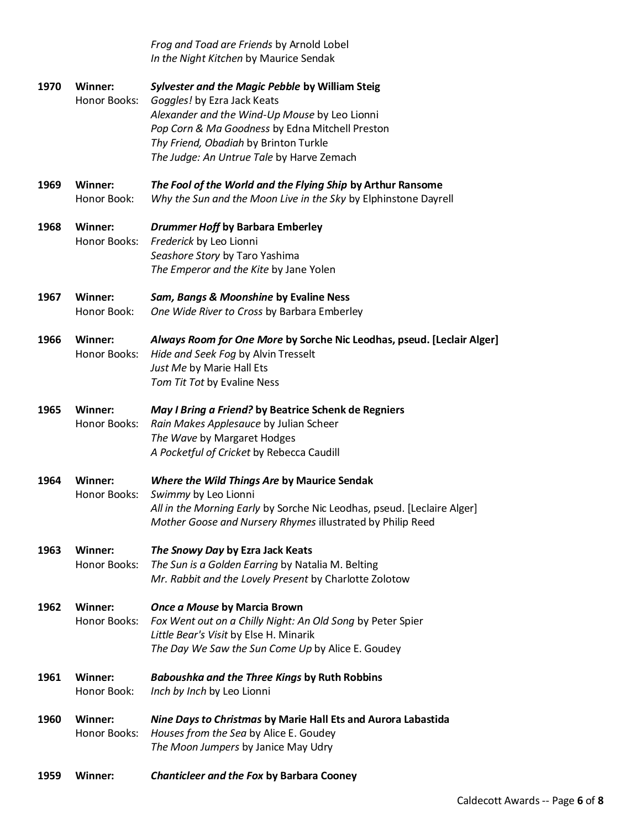|      |                         | Frog and Toad are Friends by Arnold Lobel<br>In the Night Kitchen by Maurice Sendak                                                                                                                                                                                      |
|------|-------------------------|--------------------------------------------------------------------------------------------------------------------------------------------------------------------------------------------------------------------------------------------------------------------------|
| 1970 | Winner:<br>Honor Books: | Sylvester and the Magic Pebble by William Steig<br>Goggles! by Ezra Jack Keats<br>Alexander and the Wind-Up Mouse by Leo Lionni<br>Pop Corn & Ma Goodness by Edna Mitchell Preston<br>Thy Friend, Obadiah by Brinton Turkle<br>The Judge: An Untrue Tale by Harve Zemach |
| 1969 | Winner:<br>Honor Book:  | The Fool of the World and the Flying Ship by Arthur Ransome<br>Why the Sun and the Moon Live in the Sky by Elphinstone Dayrell                                                                                                                                           |
| 1968 | Winner:<br>Honor Books: | <b>Drummer Hoff by Barbara Emberley</b><br>Frederick by Leo Lionni<br>Seashore Story by Taro Yashima<br>The Emperor and the Kite by Jane Yolen                                                                                                                           |
| 1967 | Winner:<br>Honor Book:  | Sam, Bangs & Moonshine by Evaline Ness<br>One Wide River to Cross by Barbara Emberley                                                                                                                                                                                    |
| 1966 | Winner:<br>Honor Books: | Always Room for One More by Sorche Nic Leodhas, pseud. [Leclair Alger]<br>Hide and Seek Fog by Alvin Tresselt<br>Just Me by Marie Hall Ets<br>Tom Tit Tot by Evaline Ness                                                                                                |
| 1965 | Winner:<br>Honor Books: | May I Bring a Friend? by Beatrice Schenk de Regniers<br>Rain Makes Applesauce by Julian Scheer<br>The Wave by Margaret Hodges<br>A Pocketful of Cricket by Rebecca Caudill                                                                                               |
| 1964 | Winner:<br>Honor Books: | Where the Wild Things Are by Maurice Sendak<br>Swimmy by Leo Lionni<br>All in the Morning Early by Sorche Nic Leodhas, pseud. [Leclaire Alger]<br>Mother Goose and Nursery Rhymes illustrated by Philip Reed                                                             |
| 1963 | Winner:<br>Honor Books: | The Snowy Day by Ezra Jack Keats<br>The Sun is a Golden Earring by Natalia M. Belting<br>Mr. Rabbit and the Lovely Present by Charlotte Zolotow                                                                                                                          |
| 1962 | Winner:<br>Honor Books: | Once a Mouse by Marcia Brown<br>Fox Went out on a Chilly Night: An Old Song by Peter Spier<br>Little Bear's Visit by Else H. Minarik<br>The Day We Saw the Sun Come Up by Alice E. Goudey                                                                                |
| 1961 | Winner:<br>Honor Book:  | <b>Baboushka and the Three Kings by Ruth Robbins</b><br>Inch by Inch by Leo Lionni                                                                                                                                                                                       |
| 1960 | Winner:<br>Honor Books: | Nine Days to Christmas by Marie Hall Ets and Aurora Labastida<br>Houses from the Sea by Alice E. Goudey<br>The Moon Jumpers by Janice May Udry                                                                                                                           |
| 1959 | <b>Winner:</b>          | <b>Chanticleer and the Fox by Barbara Cooney</b>                                                                                                                                                                                                                         |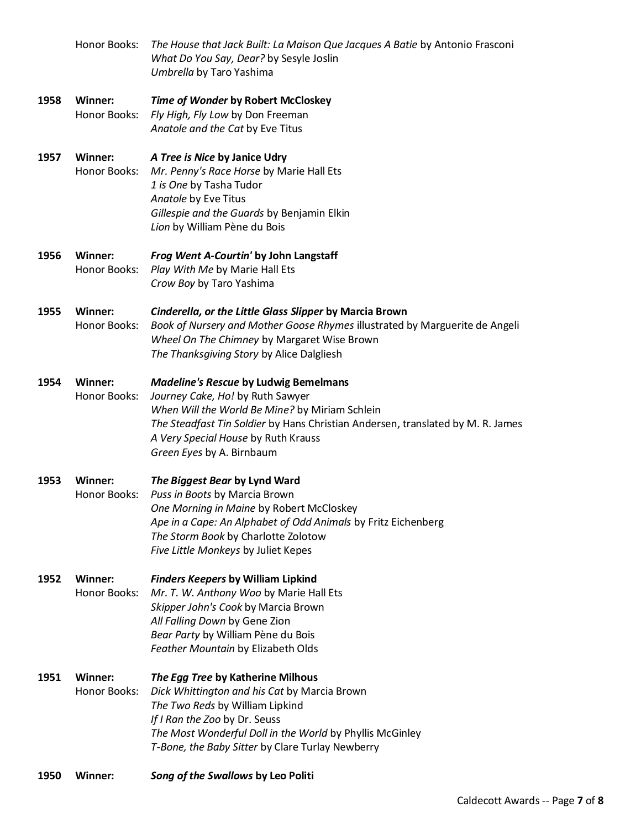| 1950 | <b>Winner:</b>                 | Song of the Swallows by Leo Politi                                                                                                                                                                                                                                                        |
|------|--------------------------------|-------------------------------------------------------------------------------------------------------------------------------------------------------------------------------------------------------------------------------------------------------------------------------------------|
| 1951 | Winner:<br>Honor Books:        | The Egg Tree by Katherine Milhous<br>Dick Whittington and his Cat by Marcia Brown<br>The Two Reds by William Lipkind<br>If I Ran the Zoo by Dr. Seuss<br>The Most Wonderful Doll in the World by Phyllis McGinley<br>T-Bone, the Baby Sitter by Clare Turlay Newberry                     |
| 1952 | Winner:<br>Honor Books:        | <b>Finders Keepers by William Lipkind</b><br>Mr. T. W. Anthony Woo by Marie Hall Ets<br>Skipper John's Cook by Marcia Brown<br>All Falling Down by Gene Zion<br>Bear Party by William Pène du Bois<br>Feather Mountain by Elizabeth Olds                                                  |
| 1953 | Winner:<br>Honor Books:        | The Biggest Bear by Lynd Ward<br>Puss in Boots by Marcia Brown<br>One Morning in Maine by Robert McCloskey<br>Ape in a Cape: An Alphabet of Odd Animals by Fritz Eichenberg<br>The Storm Book by Charlotte Zolotow<br>Five Little Monkeys by Juliet Kepes                                 |
| 1954 | Winner:<br>Honor Books:        | <b>Madeline's Rescue by Ludwig Bemelmans</b><br>Journey Cake, Ho! by Ruth Sawyer<br>When Will the World Be Mine? by Miriam Schlein<br>The Steadfast Tin Soldier by Hans Christian Andersen, translated by M. R. James<br>A Very Special House by Ruth Krauss<br>Green Eyes by A. Birnbaum |
| 1955 | <b>Winner:</b><br>Honor Books: | Cinderella, or the Little Glass Slipper by Marcia Brown<br>Book of Nursery and Mother Goose Rhymes illustrated by Marguerite de Angeli<br>Wheel On The Chimney by Margaret Wise Brown<br>The Thanksgiving Story by Alice Dalgliesh                                                        |
| 1956 | Winner:<br>Honor Books:        | Frog Went A-Courtin' by John Langstaff<br>Play With Me by Marie Hall Ets<br>Crow Boy by Taro Yashima                                                                                                                                                                                      |
| 1957 | Winner:<br>Honor Books:        | A Tree is Nice by Janice Udry<br>Mr. Penny's Race Horse by Marie Hall Ets<br>1 is One by Tasha Tudor<br>Anatole by Eve Titus<br>Gillespie and the Guards by Benjamin Elkin<br>Lion by William Pène du Bois                                                                                |
| 1958 | Winner:<br>Honor Books:        | Time of Wonder by Robert McCloskey<br>Fly High, Fly Low by Don Freeman<br>Anatole and the Cat by Eve Titus                                                                                                                                                                                |
|      | Honor Books:                   | The House that Jack Built: La Maison Que Jacques A Batie by Antonio Frasconi<br>What Do You Say, Dear? by Sesyle Joslin<br>Umbrella by Taro Yashima                                                                                                                                       |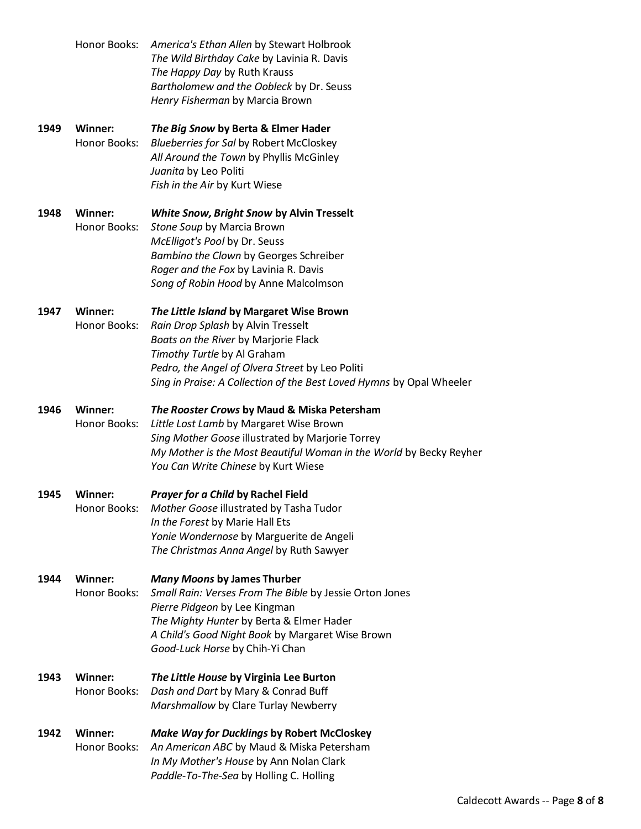|      | Honor Books:                   | America's Ethan Allen by Stewart Holbrook<br>The Wild Birthday Cake by Lavinia R. Davis<br>The Happy Day by Ruth Krauss<br>Bartholomew and the Oobleck by Dr. Seuss<br>Henry Fisherman by Marcia Brown                                                                           |
|------|--------------------------------|----------------------------------------------------------------------------------------------------------------------------------------------------------------------------------------------------------------------------------------------------------------------------------|
| 1949 | Winner:<br>Honor Books:        | The Big Snow by Berta & Elmer Hader<br><b>Blueberries for Sal by Robert McCloskey</b><br>All Around the Town by Phyllis McGinley<br>Juanita by Leo Politi<br>Fish in the Air by Kurt Wiese                                                                                       |
| 1948 | Winner:<br>Honor Books:        | White Snow, Bright Snow by Alvin Tresselt<br>Stone Soup by Marcia Brown<br>McElligot's Pool by Dr. Seuss<br>Bambino the Clown by Georges Schreiber<br>Roger and the Fox by Lavinia R. Davis<br>Song of Robin Hood by Anne Malcolmson                                             |
| 1947 | Winner:<br>Honor Books:        | The Little Island by Margaret Wise Brown<br>Rain Drop Splash by Alvin Tresselt<br>Boats on the River by Marjorie Flack<br>Timothy Turtle by Al Graham<br>Pedro, the Angel of Olvera Street by Leo Politi<br>Sing in Praise: A Collection of the Best Loved Hymns by Opal Wheeler |
| 1946 | Winner:<br>Honor Books:        | The Rooster Crows by Maud & Miska Petersham<br>Little Lost Lamb by Margaret Wise Brown<br>Sing Mother Goose illustrated by Marjorie Torrey<br>My Mother is the Most Beautiful Woman in the World by Becky Reyher<br>You Can Write Chinese by Kurt Wiese                          |
| 1945 | <b>Winner:</b><br>Honor Books: | Prayer for a Child by Rachel Field<br>Mother Goose illustrated by Tasha Tudor<br>In the Forest by Marie Hall Ets<br>Yonie Wondernose by Marguerite de Angeli<br>The Christmas Anna Angel by Ruth Sawyer                                                                          |
| 1944 | Winner:<br>Honor Books:        | <b>Many Moons by James Thurber</b><br>Small Rain: Verses From The Bible by Jessie Orton Jones<br>Pierre Pidgeon by Lee Kingman<br>The Mighty Hunter by Berta & Elmer Hader<br>A Child's Good Night Book by Margaret Wise Brown<br>Good-Luck Horse by Chih-Yi Chan                |
| 1943 | Winner:<br>Honor Books:        | The Little House by Virginia Lee Burton<br>Dash and Dart by Mary & Conrad Buff<br>Marshmallow by Clare Turlay Newberry                                                                                                                                                           |
| 1942 | <b>Winner:</b><br>Honor Books: | <b>Make Way for Ducklings by Robert McCloskey</b><br>An American ABC by Maud & Miska Petersham<br>In My Mother's House by Ann Nolan Clark<br>Paddle-To-The-Sea by Holling C. Holling                                                                                             |